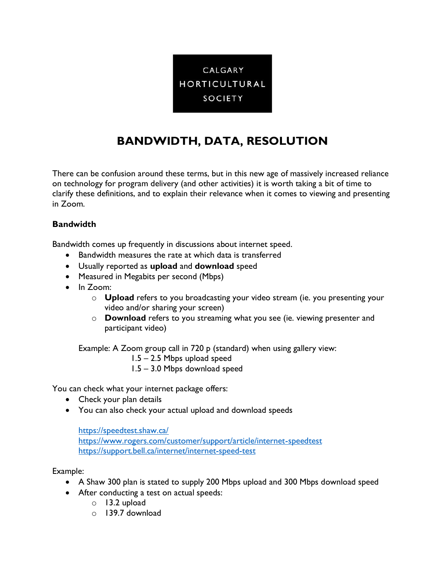

# **BANDWIDTH, DATA, RESOLUTION**

There can be confusion around these terms, but in this new age of massively increased reliance on technology for program delivery (and other activities) it is worth taking a bit of time to clarify these definitions, and to explain their relevance when it comes to viewing and presenting in Zoom.

### **Bandwidth**

Bandwidth comes up frequently in discussions about internet speed.

- Bandwidth measures the rate at which data is transferred
- Usually reported as **upload** and **download** speed
- Measured in Megabits per second (Mbps)
- In Zoom:
	- o **Upload** refers to you broadcasting your video stream (ie. you presenting your video and/or sharing your screen)
	- o **Download** refers to you streaming what you see (ie. viewing presenter and participant video)

Example: A Zoom group call in 720 p (standard) when using gallery view:

- 1.5 2.5 Mbps upload speed
- 1.5 3.0 Mbps download speed

You can check what your internet package offers:

- Check your plan details
- You can also check your actual upload and download speeds

<https://speedtest.shaw.ca/> <https://www.rogers.com/customer/support/article/internet-speedtest> <https://support.bell.ca/internet/internet-speed-test>

Example:

- A Shaw 300 plan is stated to supply 200 Mbps upload and 300 Mbps download speed
- After conducting a test on actual speeds:
	- o 13.2 upload
	- o 139.7 download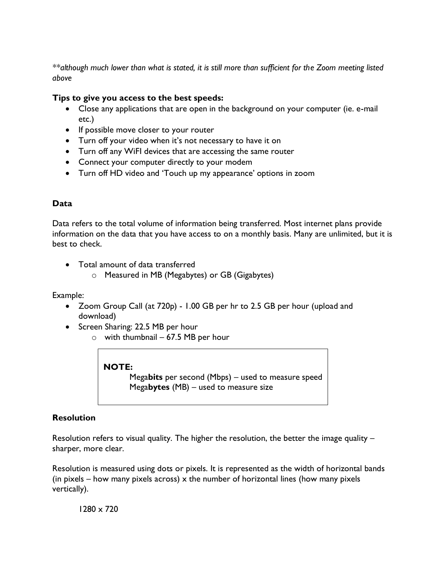*\*\*although much lower than what is stated, it is still more than sufficient for the Zoom meeting listed above*

## **Tips to give you access to the best speeds:**

- Close any applications that are open in the background on your computer (ie. e-mail etc.)
- If possible move closer to your router
- Turn off your video when it's not necessary to have it on
- Turn off any WiFI devices that are accessing the same router
- Connect your computer directly to your modem
- Turn off HD video and 'Touch up my appearance' options in zoom

## **Data**

Data refers to the total volume of information being transferred. Most internet plans provide information on the data that you have access to on a monthly basis. Many are unlimited, but it is best to check.

- Total amount of data transferred
	- o Measured in MB (Megabytes) or GB (Gigabytes)

Example:

- Zoom Group Call (at 720p) 1.00 GB per hr to 2.5 GB per hour (upload and download)
- Screen Sharing: 22.5 MB per hour  $\circ$  with thumbnail – 67.5 MB per hour

## **NOTE:**

Mega**bits** per second (Mbps) – used to measure speed Mega**bytes** (MB) – used to measure size

## **Resolution**

Resolution refers to visual quality. The higher the resolution, the better the image quality – sharper, more clear.

Resolution is measured using dots or pixels. It is represented as the width of horizontal bands (in pixels – how many pixels across)  $x$  the number of horizontal lines (how many pixels vertically).

1280 x 720